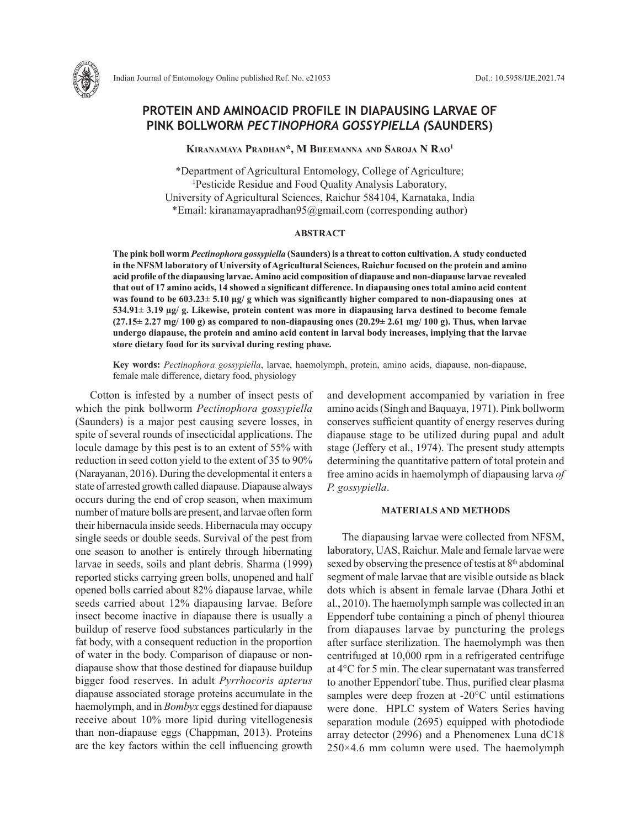

# **PROTEIN AND AMINOACID PROFILE IN DIAPAUSING LARVAE OF PINK BOLLWORM** *PECTINOPHORA GOSSYPIELLA (***SAUNDERS)**

**Kiranamaya Pradhan\*, M Bheemanna and Saroja N Rao1**

\*Department of Agricultural Entomology, College of Agriculture; 1 Pesticide Residue and Food Quality Analysis Laboratory, University of Agricultural Sciences, Raichur 584104, Karnataka, India \*Email: kiranamayapradhan95@gmail.com (corresponding author)

### **ABSTRACT**

**The pink boll worm** *Pectinophora gossypiella* **(Saunders) is a threat to cotton cultivation. A study conducted in the NFSM laboratory of University of Agricultural Sciences, Raichur focused on the protein and amino acid profile of the diapausing larvae. Amino acid composition of diapause and non-diapause larvae revealed that out of 17 amino acids, 14 showed a significant difference. In diapausing ones total amino acid content was found to be 603.23± 5.10 µg/ g which was significantly higher compared to non-diapausing ones at 534.91± 3.19 µg/ g. Likewise, protein content was more in diapausing larva destined to become female (27.15± 2.27 mg/ 100 g) as compared to non-diapausing ones (20.29± 2.61 mg/ 100 g). Thus, when larvae undergo diapause, the protein and amino acid content in larval body increases, implying that the larvae store dietary food for its survival during resting phase.**

**Key words:** *Pectinophora gossypiella*, larvae, haemolymph, protein, amino acids, diapause, non-diapause, female male difference, dietary food, physiology

Cotton is infested by a number of insect pests of which the pink bollworm *Pectinophora gossypiella* (Saunders) is a major pest causing severe losses, in spite of several rounds of insecticidal applications. The locule damage by this pest is to an extent of 55% with reduction in seed cotton yield to the extent of 35 to 90% (Narayanan, 2016). During the developmental it enters a state of arrested growth called diapause. Diapause always occurs during the end of crop season, when maximum number of mature bolls are present, and larvae often form their hibernacula inside seeds. Hibernacula may occupy single seeds or double seeds. Survival of the pest from one season to another is entirely through hibernating larvae in seeds, soils and plant debris. Sharma (1999) reported sticks carrying green bolls, unopened and half opened bolls carried about 82% diapause larvae, while seeds carried about 12% diapausing larvae. Before insect become inactive in diapause there is usually a buildup of reserve food substances particularly in the fat body, with a consequent reduction in the proportion of water in the body. Comparison of diapause or nondiapause show that those destined for diapause buildup bigger food reserves. In adult *Pyrrhocoris apterus* diapause associated storage proteins accumulate in the haemolymph, and in *Bombyx* eggs destined for diapause receive about 10% more lipid during vitellogenesis than non-diapause eggs (Chappman, 2013). Proteins are the key factors within the cell influencing growth and development accompanied by variation in free amino acids (Singh and Baquaya, 1971). Pink bollworm conserves sufficient quantity of energy reserves during diapause stage to be utilized during pupal and adult stage (Jeffery et al., 1974). The present study attempts determining the quantitative pattern of total protein and free amino acids in haemolymph of diapausing larva *of P. gossypiella*.

# **MATERIALS AND METHODS**

The diapausing larvae were collected from NFSM, laboratory, UAS, Raichur. Male and female larvae were sexed by observing the presence of testis at 8<sup>th</sup> abdominal segment of male larvae that are visible outside as black dots which is absent in female larvae (Dhara Jothi et al., 2010). The haemolymph sample was collected in an Eppendorf tube containing a pinch of phenyl thiourea from diapauses larvae by puncturing the prolegs after surface sterilization. The haemolymph was then centrifuged at 10,000 rpm in a refrigerated centrifuge at 4°C for 5 min. The clear supernatant was transferred to another Eppendorf tube. Thus, purified clear plasma samples were deep frozen at -20°C until estimations were done. HPLC system of Waters Series having separation module (2695) equipped with photodiode array detector (2996) and a Phenomenex Luna dC18 250×4.6 mm column were used. The haemolymph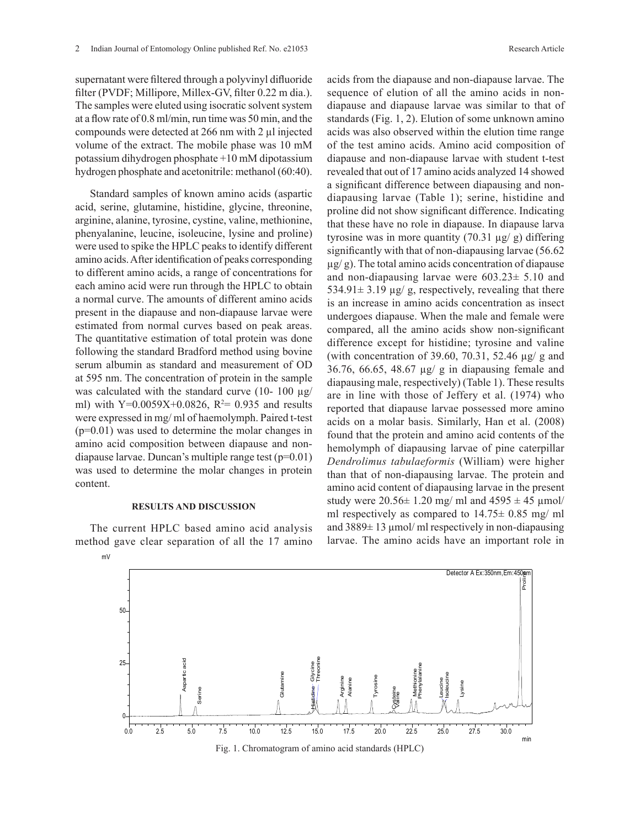supernatant were filtered through a polyvinyl difluoride filter (PVDF; Millipore, Millex-GV, filter 0.22 m dia.). The samples were eluted using isocratic solvent system at a flow rate of 0.8 ml/min, run time was 50 min, and the compounds were detected at 266 nm with 2 µl injected volume of the extract. The mobile phase was 10 mM potassium dihydrogen phosphate +10 mM dipotassium hydrogen phosphate and acetonitrile: methanol (60:40).

Standard samples of known amino acids (aspartic acid, serine, glutamine, histidine, glycine, threonine, arginine, alanine, tyrosine, cystine, valine, methionine, phenyalanine, leucine, isoleucine, lysine and proline) were used to spike the HPLC peaks to identify different amino acids. After identification of peaks corresponding to different amino acids, a range of concentrations for each amino acid were run through the HPLC to obtain a normal curve. The amounts of different amino acids present in the diapause and non-diapause larvae were estimated from normal curves based on peak areas. The quantitative estimation of total protein was done following the standard Bradford method using bovine serum albumin as standard and measurement of OD at 595 nm. The concentration of protein in the sample was calculated with the standard curve (10- 100  $\mu$ g/ ml) with  $Y=0.0059X+0.0826$ ,  $R^2= 0.935$  and results were expressed in mg/ ml of haemolymph. Paired t-test (p=0.01) was used to determine the molar changes in amino acid composition between diapause and nondiapause larvae. Duncan's multiple range test (p=0.01) was used to determine the molar changes in protein content.

### **RESULTS AND DISCUSSION**

The current HPLC based amino acid analysis method gave clear separation of all the 17 amino

mV

acids from the diapause and non-diapause larvae. The sequence of elution of all the amino acids in nondiapause and diapause larvae was similar to that of standards (Fig. 1, 2). Elution of some unknown amino acids was also observed within the elution time range of the test amino acids. Amino acid composition of diapause and non-diapause larvae with student t-test revealed that out of 17 amino acids analyzed 14 showed a significant difference between diapausing and nondiapausing larvae (Table 1); serine, histidine and proline did not show significant difference. Indicating that these have no role in diapause. In diapause larva tyrosine was in more quantity  $(70.31 \text{ µg/g})$  differing significantly with that of non-diapausing larvae (56.62  $\mu$ g/g). The total amino acids concentration of diapause and non-diapausing larvae were 603.23± 5.10 and 534.91 $\pm$  3.19 µg/ g, respectively, revealing that there is an increase in amino acids concentration as insect undergoes diapause. When the male and female were compared, all the amino acids show non-significant difference except for histidine; tyrosine and valine (with concentration of 39.60, 70.31, 52.46 µg/ g and 36.76, 66.65, 48.67 µg/ g in diapausing female and diapausing male, respectively) (Table 1). These results are in line with those of Jeffery et al. (1974) who reported that diapause larvae possessed more amino acids on a molar basis. Similarly, Han et al. (2008) found that the protein and amino acid contents of the hemolymph of diapausing larvae of pine caterpillar *Dendrolimus tabulaeformis* (William) were higher than that of non-diapausing larvae. The protein and amino acid content of diapausing larvae in the present study were  $20.56 \pm 1.20$  mg/ ml and  $4595 \pm 45$  µmol/ ml respectively as compared to  $14.75 \pm 0.85$  mg/ ml and  $3889 \pm 13 \,\mu$  mol/ ml respectively in non-diapausing larvae. The amino acids have an important role in



Fig. 1. Chromatogram of amino acid standards (HPLC)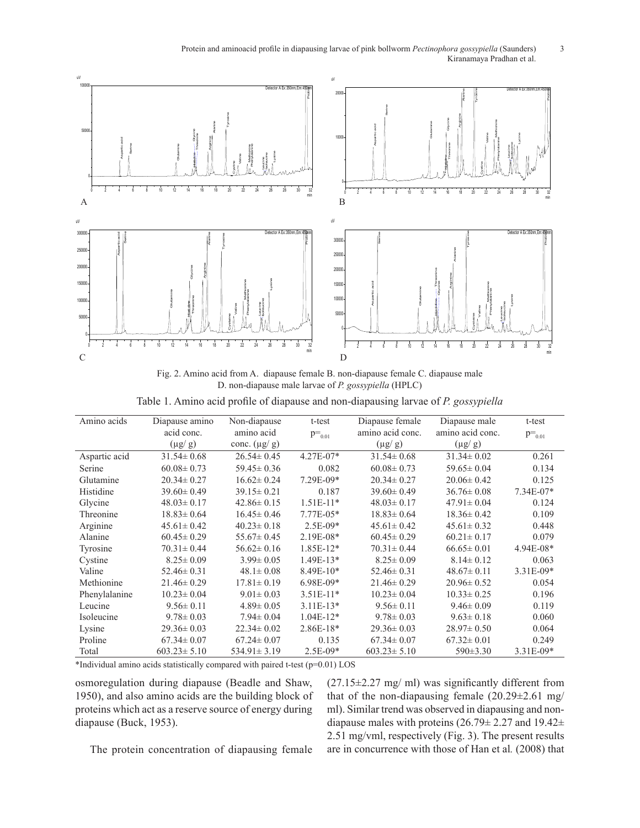Protein and aminoacid profile in diapausing larvae of pink bollworm *Pectinophora gossypiella* (Saunders) 3<br>Kiranamaya Pradhan et al Kiranamaya Pradhan et al. Protoin and aminocoid nucfile in dianovaing lempe of nink hollyways. Bestiuse



Fig. 2. Amino acid from A. diapause female B. non-diapause female C. diapause male  $\sum_{n=1}^{\infty}$  D non-diapause male larves of B. persuadia (UBLC). D. non-diapause male larvae of *P. gossypiella* (HPLC)  $E$ , find diapause finite factor  $F$ ,  $S$ *ossyppema* (HEDC)

Table 1. Amino acid profile of diapause and non-diapausing larvae of *P. gossypiella* Frame 1. Amino acid profile of diapause and non-diapausing farvae of P. gossypielia rabie 1. Allillio acid profile of diapa

| Amino acids    | Diapause amino    | Non-diapause      | t-test        | Diapause female   | Diapause male    | t-test      |
|----------------|-------------------|-------------------|---------------|-------------------|------------------|-------------|
|                | acid conc.        | amino acid        | $p=_{0.01}$   | amino acid conc.  | amino acid conc. | $p=_{0.01}$ |
|                | $(\mu g/g)$       | conc. $(\mu g/g)$ |               | $(\mu g/g)$       | $(\mu g/g)$      |             |
| Aspartic acid  | $31.54 \pm 0.68$  | $26.54 \pm 0.45$  | $4.27E - 07*$ | $31.54 \pm 0.68$  | $31.34 \pm 0.02$ | 0.261       |
| Serine         | $60.08 \pm 0.73$  | $59.45 \pm 0.36$  | 0.082         | $60.08 \pm 0.73$  | $59.65 \pm 0.04$ | 0.134       |
| Glutamine      | $20.34 \pm 0.27$  | $16.62 \pm 0.24$  | 7.29E-09*     | $20.34 \pm 0.27$  | $20.06 \pm 0.42$ | 0.125       |
| Histidine      | $39.60 \pm 0.49$  | $39.15 \pm 0.21$  | 0.187         | $39.60 \pm 0.49$  | $36.76 \pm 0.08$ | $7.34E-07*$ |
| Glycine        | $48.03 \pm 0.17$  | $42.86 \pm 0.15$  | $1.51E-11*$   | $48.03 \pm 0.17$  | $47.91 \pm 0.04$ | 0.124       |
| Threonine      | $18.83 \pm 0.64$  | $16.45 \pm 0.46$  | $7.77E-05*$   | $18.83 \pm 0.64$  | $18.36 \pm 0.42$ | 0.109       |
| Arginine       | $45.61 \pm 0.42$  | $40.23 \pm 0.18$  | $2.5E-09*$    | $45.61 \pm 0.42$  | $45.61 \pm 0.32$ | 0.448       |
| <b>Alanine</b> | $60.45 \pm 0.29$  | $55.67 \pm 0.45$  | 2.19E-08*     | $60.45 \pm 0.29$  | $60.21 \pm 0.17$ | 0.079       |
| Tyrosine       | $70.31 \pm 0.44$  | $56.62 \pm 0.16$  | $1.85E-12*$   | $70.31 \pm 0.44$  | $66.65 \pm 0.01$ | $4.94E-08*$ |
| Cystine        | $8.25 \pm 0.09$   | $3.99 \pm 0.05$   | $1.49E-13*$   | $8.25 \pm 0.09$   | $8.14 \pm 0.12$  | 0.063       |
| Valine         | $52.46 \pm 0.31$  | $48.1 \pm 0.08$   | $8.49E-10*$   | $52.46 \pm 0.31$  | $48.67 \pm 0.11$ | 3.31E-09*   |
| Methionine     | $21.46 \pm 0.29$  | $17.81 \pm 0.19$  | $6.98E-09*$   | $21.46 \pm 0.29$  | $20.96 \pm 0.52$ | 0.054       |
| Phenylalanine  | $10.23 \pm 0.04$  | $9.01 \pm 0.03$   | $3.51E-11*$   | $10.23 \pm 0.04$  | $10.33 \pm 0.25$ | 0.196       |
| Leucine        | $9.56 \pm 0.11$   | $4.89 \pm 0.05$   | $3.11E-13*$   | $9.56 \pm 0.11$   | $9.46 \pm 0.09$  | 0.119       |
| Isoleucine     | $9.78 \pm 0.03$   | $7.94 \pm 0.04$   | $1.04E-12*$   | $9.78 \pm 0.03$   | $9.63 \pm 0.18$  | 0.060       |
| Lysine         | $29.36 \pm 0.03$  | $22.34 \pm 0.02$  | $2.86E-18*$   | $29.36 \pm 0.03$  | $28.97 \pm 0.50$ | 0.064       |
| Proline        | $67.34 \pm 0.07$  | $67.24 \pm 0.07$  | 0.135         | $67.34 \pm 0.07$  | $67.32 \pm 0.01$ | 0.249       |
| Total          | $603.23 \pm 5.10$ | $534.91 \pm 3.19$ | 2.5E-09*      | $603.23 \pm 5.10$ | $590 \pm 3.30$   | 3.31E-09*   |

\*Individual amino acids statistically compared with paired t-test (p=0.01) LOS

osmoregulation during diapause (Beadle and Shaw, 1950), and also amino acids are the building block of proteins which act as a reserve source of energy during diapause (Buck, 1953).

 $(27.15\pm2.27 \text{ mg/ml})$  was significantly different from that of the non-diapausing female  $(20.29\pm2.61 \text{ mg}/$ ml). Similar trend was observed in diapausing and nondiapause males with proteins (26.79± 2.27 and 19.42± 2.51 mg/vml, respectively (Fig. 3). The present results are in concurrence with those of Han et al*.* (2008) that

The protein concentration of diapausing female